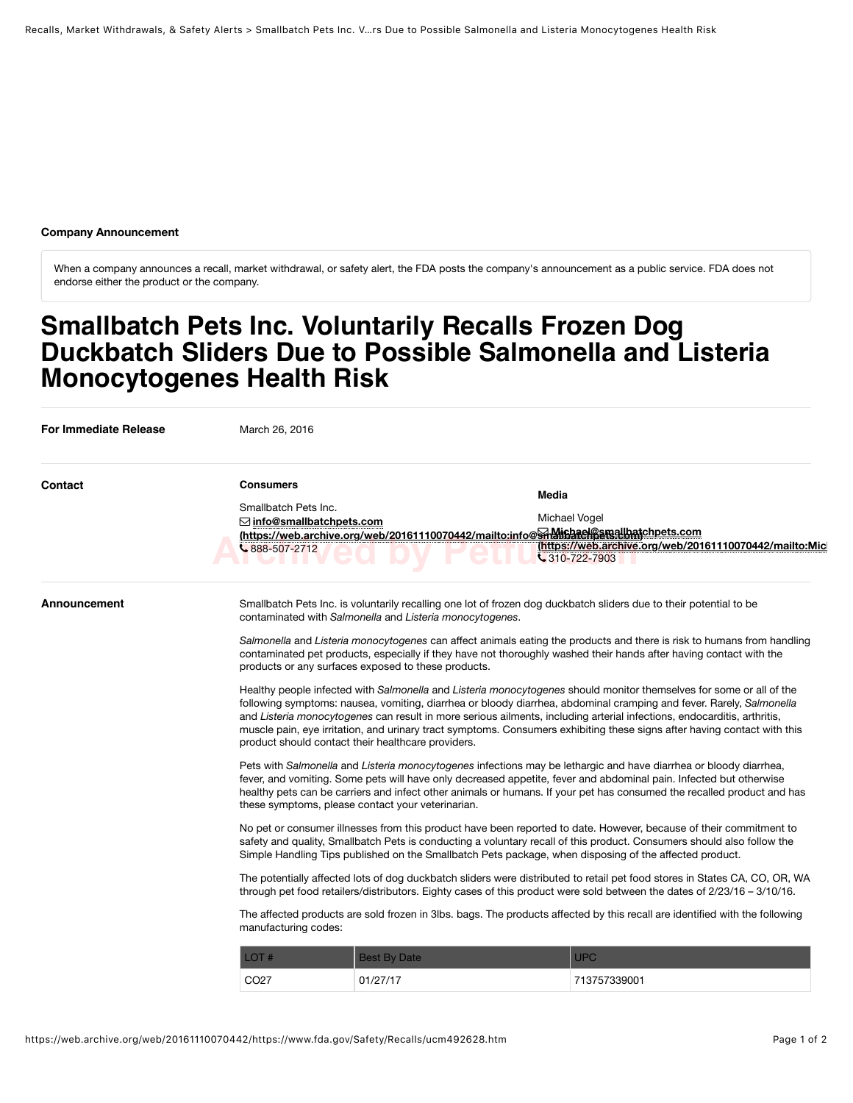## **Company Announcement**

When a company announces a recall, market withdrawal, or safety alert, the FDA posts the company's announcement as a public service. FDA does not endorse either the product or the company.

# **Smallbatch Pets Inc. Voluntarily Recalls Frozen Dog Duckbatch Sliders Due to Possible Salmonella and Listeria Monocytogenes Health Risk**

| For Immediate Release | March 26, 2016                                                                                                                                                                                                                                                                                                                                                                                                                                                                                                                                          |                     |                                                                                                                     |                                                         |  |
|-----------------------|---------------------------------------------------------------------------------------------------------------------------------------------------------------------------------------------------------------------------------------------------------------------------------------------------------------------------------------------------------------------------------------------------------------------------------------------------------------------------------------------------------------------------------------------------------|---------------------|---------------------------------------------------------------------------------------------------------------------|---------------------------------------------------------|--|
| Contact               | <b>Consumers</b>                                                                                                                                                                                                                                                                                                                                                                                                                                                                                                                                        |                     | <b>Media</b>                                                                                                        |                                                         |  |
|                       | Smallbatch Pets Inc.                                                                                                                                                                                                                                                                                                                                                                                                                                                                                                                                    |                     |                                                                                                                     |                                                         |  |
|                       | $\boxdot$ info@smallbatchpets.com                                                                                                                                                                                                                                                                                                                                                                                                                                                                                                                       |                     | Michael Vogel                                                                                                       |                                                         |  |
|                       | $\frac{6.888 - 507 - 2712}{6}$                                                                                                                                                                                                                                                                                                                                                                                                                                                                                                                          |                     | (https://web.archive.org/web/20161110070442/mailto:info@Shalipatel@smallbatchpets.com<br>$\frac{1}{2}$ 310-722-7903 | (https://web.archive.org/web/20161110070442/mailto:Micl |  |
| Announcement          | Smallbatch Pets Inc. is voluntarily recalling one lot of frozen dog duckbatch sliders due to their potential to be<br>contaminated with Salmonella and Listeria monocytogenes.                                                                                                                                                                                                                                                                                                                                                                          |                     |                                                                                                                     |                                                         |  |
|                       | Salmonella and Listeria monocytogenes can affect animals eating the products and there is risk to humans from handling<br>contaminated pet products, especially if they have not thoroughly washed their hands after having contact with the<br>products or any surfaces exposed to these products.                                                                                                                                                                                                                                                     |                     |                                                                                                                     |                                                         |  |
|                       | Healthy people infected with Salmonella and Listeria monocytogenes should monitor themselves for some or all of the<br>following symptoms: nausea, vomiting, diarrhea or bloody diarrhea, abdominal cramping and fever. Rarely, Salmonella<br>and Listeria monocytogenes can result in more serious ailments, including arterial infections, endocarditis, arthritis,<br>muscle pain, eye irritation, and urinary tract symptoms. Consumers exhibiting these signs after having contact with this<br>product should contact their healthcare providers. |                     |                                                                                                                     |                                                         |  |
|                       | Pets with Salmonella and Listeria monocytogenes infections may be lethargic and have diarrhea or bloody diarrhea,<br>fever, and vomiting. Some pets will have only decreased appetite, fever and abdominal pain. Infected but otherwise<br>healthy pets can be carriers and infect other animals or humans. If your pet has consumed the recalled product and has<br>these symptoms, please contact your veterinarian.                                                                                                                                  |                     |                                                                                                                     |                                                         |  |
|                       | No pet or consumer illnesses from this product have been reported to date. However, because of their commitment to<br>safety and quality, Smallbatch Pets is conducting a voluntary recall of this product. Consumers should also follow the<br>Simple Handling Tips published on the Smallbatch Pets package, when disposing of the affected product.                                                                                                                                                                                                  |                     |                                                                                                                     |                                                         |  |
|                       | The potentially affected lots of dog duckbatch sliders were distributed to retail pet food stores in States CA, CO, OR, WA<br>through pet food retailers/distributors. Eighty cases of this product were sold between the dates of 2/23/16 - 3/10/16.                                                                                                                                                                                                                                                                                                   |                     |                                                                                                                     |                                                         |  |
|                       | The affected products are sold frozen in 3lbs. bags. The products affected by this recall are identified with the following<br>manufacturing codes:                                                                                                                                                                                                                                                                                                                                                                                                     |                     |                                                                                                                     |                                                         |  |
|                       | LOT#                                                                                                                                                                                                                                                                                                                                                                                                                                                                                                                                                    | <b>Best By Date</b> | <b>UPC</b>                                                                                                          |                                                         |  |
|                       | CO <sub>27</sub>                                                                                                                                                                                                                                                                                                                                                                                                                                                                                                                                        | 01/27/17            | 713757339001                                                                                                        |                                                         |  |
|                       |                                                                                                                                                                                                                                                                                                                                                                                                                                                                                                                                                         |                     |                                                                                                                     |                                                         |  |
|                       |                                                                                                                                                                                                                                                                                                                                                                                                                                                                                                                                                         |                     |                                                                                                                     |                                                         |  |